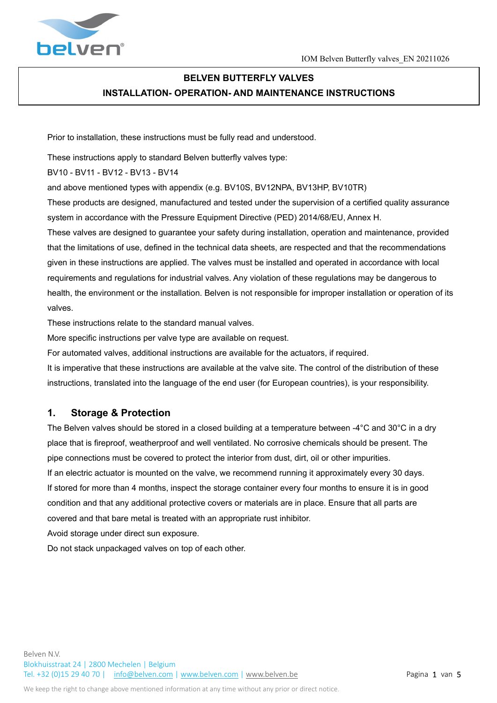

# **BELVEN BUTTERFLY VALVES INSTALLATION- OPERATION- AND MAINTENANCE INSTRUCTIONS**

Prior to installation, these instructions must be fully read and understood.

These instructions apply to standard Belven butterfly valves type:

BV10 - BV11 - BV12 - BV13 - BV14

and above mentioned types with appendix (e.g. BV10S, BV12NPA, BV13HP, BV10TR)

These products are designed, manufactured and tested under the supervision of a certified quality assurance system in accordance with the Pressure Equipment Directive (PED) 2014/68/EU, Annex H.

These valves are designed to guarantee your safety during installation, operation and maintenance, provided that the limitations of use, defined in the technical data sheets, are respected and that the recommendations given in these instructions are applied. The valves must be installed and operated in accordance with local requirements and regulations for industrial valves. Any violation of these regulations may be dangerous to health, the environment or the installation. Belven is not responsible for improper installation or operation of its valves.

These instructions relate to the standard manual valves.

More specific instructions per valve type are available on request.

For automated valves, additional instructions are available for the actuators, if required.

It is imperative that these instructions are available at the valve site. The control of the distribution of these instructions, translated into the language of the end user (for European countries), is your responsibility.

### **1. Storage & Protection**

The Belven valves should be stored in a closed building at a temperature between -4°C and 30°C in a dry place that is fireproof, weatherproof and well ventilated. No corrosive chemicals should be present. The pipe connections must be covered to protect the interior from dust, dirt, oil or other impurities. If an electric actuator is mounted on the valve, we recommend running it approximately every 30 days. If stored for more than 4 months, inspect the storage container every four months to ensure it is in good condition and that any additional protective covers or materials are in place. Ensure that all parts are covered and that bare metal is treated with an appropriate rust inhibitor.

Avoid storage under direct sun exposure.

Do not stack unpackaged valves on top of each other.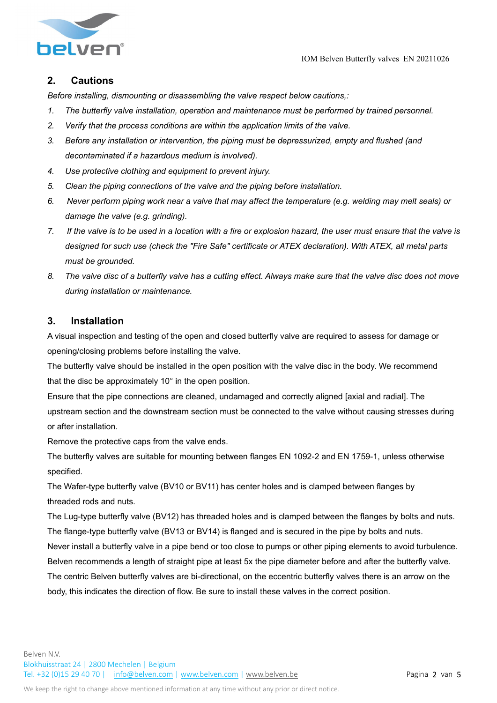IOM Belven Butterfly valves\_EN 20211026



## **2. Cautions**

*Before installing, dismounting or disassembling the valve respect below cautions,:* 

- *1. The butterfly valve installation, operation and maintenance must be performed by trained personnel.*
- *2. Verify that the process conditions are within the application limits of the valve.*
- *3. Before any installation or intervention, the piping must be depressurized, empty and flushed (and decontaminated if a hazardous medium is involved).*
- *4. Use protective clothing and equipment to prevent injury.*
- *5. Clean the piping connections of the valve and the piping before installation.*
- *6. Never perform piping work near a valve that may affect the temperature (e.g. welding may melt seals) or damage the valve (e.g. grinding).*
- *7. If the valve is to be used in a location with a fire or explosion hazard, the user must ensure that the valve is designed for such use (check the "Fire Safe" certificate or ATEX declaration). With ATEX, all metal parts must be grounded.*
- *8. The valve disc of a butterfly valve has a cutting effect. Always make sure that the valve disc does not move during installation or maintenance.*

### **3. Installation**

A visual inspection and testing of the open and closed butterfly valve are required to assess for damage or opening/closing problems before installing the valve.

The butterfly valve should be installed in the open position with the valve disc in the body. We recommend that the disc be approximately 10° in the open position.

Ensure that the pipe connections are cleaned, undamaged and correctly aligned [axial and radial]. The upstream section and the downstream section must be connected to the valve without causing stresses during or after installation.

Remove the protective caps from the valve ends.

The butterfly valves are suitable for mounting between flanges EN 1092-2 and EN 1759-1, unless otherwise specified.

The Wafer-type butterfly valve (BV10 or BV11) has center holes and is clamped between flanges by threaded rods and nuts.

The Lug-type butterfly valve (BV12) has threaded holes and is clamped between the flanges by bolts and nuts. The flange-type butterfly valve (BV13 or BV14) is flanged and is secured in the pipe by bolts and nuts.

Never install a butterfly valve in a pipe bend or too close to pumps or other piping elements to avoid turbulence. Belven recommends a length of straight pipe at least 5x the pipe diameter before and after the butterfly valve. The centric Belven butterfly valves are bi-directional, on the eccentric butterfly valves there is an arrow on the body, this indicates the direction of flow. Be sure to install these valves in the correct position.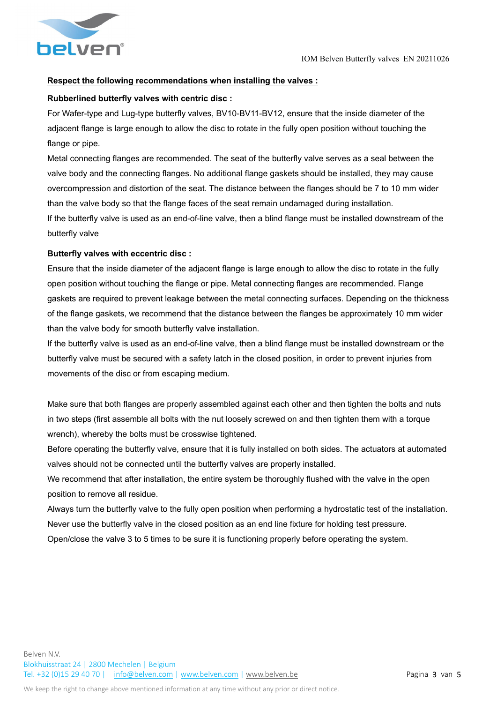

#### **Respect the following recommendations when installing the valves :**

#### **Rubberlined butterfly valves with centric disc :**

For Wafer-type and Lug-type butterfly valves, BV10-BV11-BV12, ensure that the inside diameter of the adjacent flange is large enough to allow the disc to rotate in the fully open position without touching the flange or pipe.

Metal connecting flanges are recommended. The seat of the butterfly valve serves as a seal between the valve body and the connecting flanges. No additional flange gaskets should be installed, they may cause overcompression and distortion of the seat. The distance between the flanges should be 7 to 10 mm wider than the valve body so that the flange faces of the seat remain undamaged during installation. If the butterfly valve is used as an end-of-line valve, then a blind flange must be installed downstream of the butterfly valve

#### **Butterfly valves with eccentric disc :**

Ensure that the inside diameter of the adjacent flange is large enough to allow the disc to rotate in the fully open position without touching the flange or pipe. Metal connecting flanges are recommended. Flange gaskets are required to prevent leakage between the metal connecting surfaces. Depending on the thickness of the flange gaskets, we recommend that the distance between the flanges be approximately 10 mm wider than the valve body for smooth butterfly valve installation.

If the butterfly valve is used as an end-of-line valve, then a blind flange must be installed downstream or the butterfly valve must be secured with a safety latch in the closed position, in order to prevent injuries from movements of the disc or from escaping medium.

Make sure that both flanges are properly assembled against each other and then tighten the bolts and nuts in two steps (first assemble all bolts with the nut loosely screwed on and then tighten them with a torque wrench), whereby the bolts must be crosswise tightened.

Before operating the butterfly valve, ensure that it is fully installed on both sides. The actuators at automated valves should not be connected until the butterfly valves are properly installed.

We recommend that after installation, the entire system be thoroughly flushed with the valve in the open position to remove all residue.

Always turn the butterfly valve to the fully open position when performing a hydrostatic test of the installation. Never use the butterfly valve in the closed position as an end line fixture for holding test pressure.

Open/close the valve 3 to 5 times to be sure it is functioning properly before operating the system.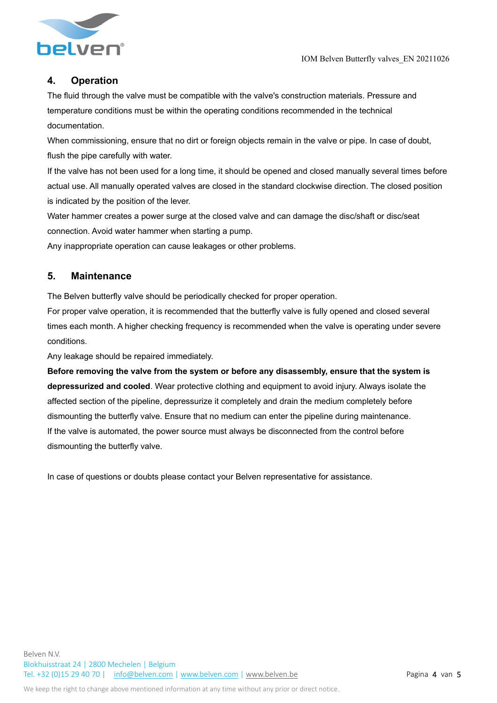

## **4. Operation**

The fluid through the valve must be compatible with the valve's construction materials. Pressure and temperature conditions must be within the operating conditions recommended in the technical documentation.

When commissioning, ensure that no dirt or foreign objects remain in the valve or pipe. In case of doubt, flush the pipe carefully with water.

If the valve has not been used for a long time, it should be opened and closed manually several times before actual use. All manually operated valves are closed in the standard clockwise direction. The closed position is indicated by the position of the lever.

Water hammer creates a power surge at the closed valve and can damage the disc/shaft or disc/seat connection. Avoid water hammer when starting a pump.

Any inappropriate operation can cause leakages or other problems.

### **5. Maintenance**

The Belven butterfly valve should be periodically checked for proper operation.

For proper valve operation, it is recommended that the butterfly valve is fully opened and closed several times each month. A higher checking frequency is recommended when the valve is operating under severe conditions.

Any leakage should be repaired immediately.

**Before removing the valve from the system or before any disassembly, ensure that the system is depressurized and cooled**. Wear protective clothing and equipment to avoid injury. Always isolate the affected section of the pipeline, depressurize it completely and drain the medium completely before dismounting the butterfly valve. Ensure that no medium can enter the pipeline during maintenance. If the valve is automated, the power source must always be disconnected from the control before dismounting the butterfly valve.

In case of questions or doubts please contact your Belven representative for assistance.